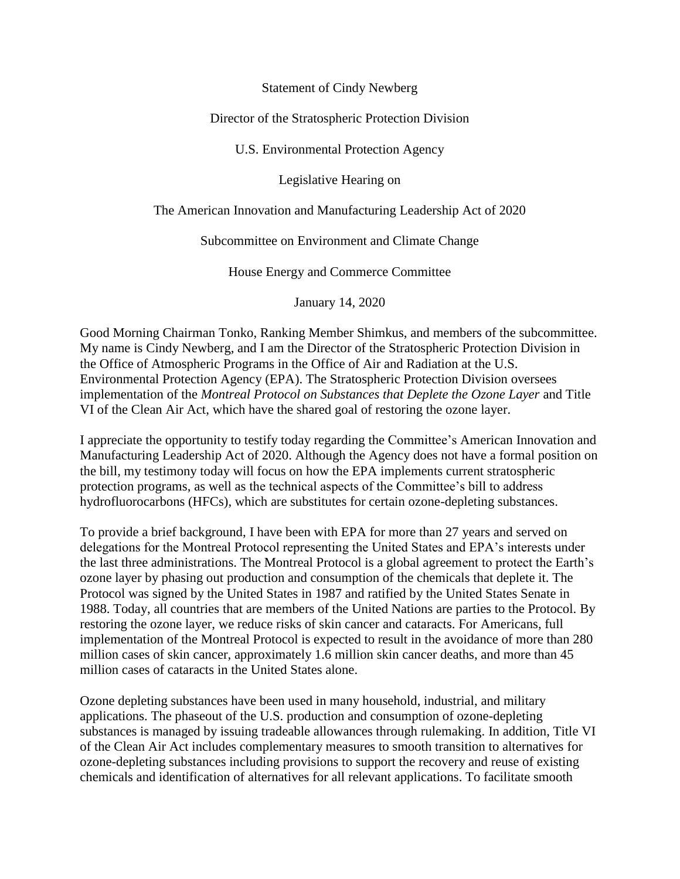Statement of Cindy Newberg

Director of the Stratospheric Protection Division

U.S. Environmental Protection Agency

Legislative Hearing on

The American Innovation and Manufacturing Leadership Act of 2020

Subcommittee on Environment and Climate Change

House Energy and Commerce Committee

January 14, 2020

Good Morning Chairman Tonko, Ranking Member Shimkus, and members of the subcommittee. My name is Cindy Newberg, and I am the Director of the Stratospheric Protection Division in the Office of Atmospheric Programs in the Office of Air and Radiation at the U.S. Environmental Protection Agency (EPA). The Stratospheric Protection Division oversees implementation of the *Montreal Protocol on Substances that Deplete the Ozone Layer* and Title VI of the Clean Air Act, which have the shared goal of restoring the ozone layer.

I appreciate the opportunity to testify today regarding the Committee's American Innovation and Manufacturing Leadership Act of 2020. Although the Agency does not have a formal position on the bill, my testimony today will focus on how the EPA implements current stratospheric protection programs, as well as the technical aspects of the Committee's bill to address hydrofluorocarbons (HFCs), which are substitutes for certain ozone-depleting substances.

To provide a brief background, I have been with EPA for more than 27 years and served on delegations for the Montreal Protocol representing the United States and EPA's interests under the last three administrations. The Montreal Protocol is a global agreement to protect the Earth's ozone layer by phasing out production and consumption of the chemicals that deplete it. The Protocol was signed by the United States in 1987 and ratified by the United States Senate in 1988. Today, all countries that are members of the United Nations are parties to the Protocol. By restoring the ozone layer, we reduce risks of skin cancer and cataracts. For Americans, full implementation of the Montreal Protocol is expected to result in the avoidance of more than 280 million cases of skin cancer, approximately 1.6 million skin cancer deaths, and more than 45 million cases of cataracts in the United States alone.

Ozone depleting substances have been used in many household, industrial, and military applications. The phaseout of the U.S. production and consumption of ozone-depleting substances is managed by issuing tradeable allowances through rulemaking. In addition, Title VI of the Clean Air Act includes complementary measures to smooth transition to alternatives for ozone-depleting substances including provisions to support the recovery and reuse of existing chemicals and identification of alternatives for all relevant applications. To facilitate smooth